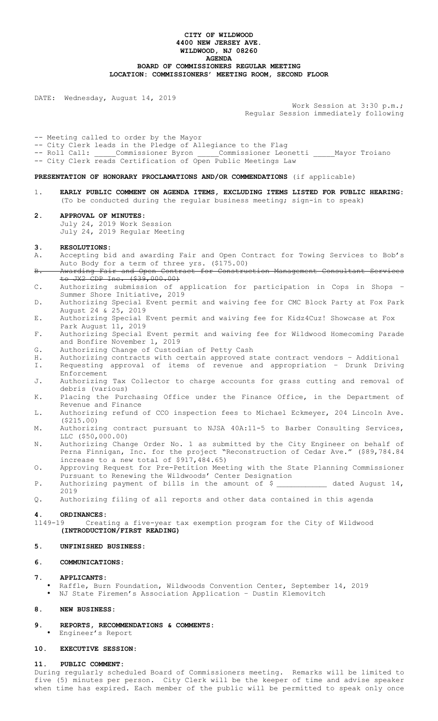## **CITY OF WILDWOOD 4400 NEW JERSEY AVE. WILDWOOD, NJ 08260 AGENDA BOARD OF COMMISSIONERS REGULAR MEETING LOCATION: COMMISSIONERS' MEETING ROOM, SECOND FLOOR**

DATE: Wednesday, August 14, 2019

Work Session at 3:30 p.m.; Regular Session immediately following

-- Meeting called to order by the Mayor

-- City Clerk leads in the Pledge of Allegiance to the Flag<br>-- Roll Call: Commissioner Byron \_\_\_\_\_Commissioner Leo \_Commissioner Byron \_\_\_\_\_\_Commissioner Leonetti \_\_\_\_Mayor Troiano -- City Clerk reads Certification of Open Public Meetings Law

**PRESENTATION OF HONORARY PROCLAMATIONS AND/OR COMMENDATIONS** (if applicable)

- 1. **EARLY PUBLIC COMMENT ON AGENDA ITEMS, EXCLUDING ITEMS LISTED FOR PUBLIC HEARING:** (To be conducted during the regular business meeting; sign-in to speak)
- **2. APPROVAL OF MINUTES:**  July 24, 2019 Work Session

July 24, 2019 Regular Meeting

## **3. RESOLUTIONS:**

- A. Accepting bid and awarding Fair and Open Contract for Towing Services to Bob's Auto Body for a term of three yrs. (\$175.00)
- B. Awarding Fair and Open Contract for Construction Management Consultant Services to JX2 CDP Inc. (\$39,000.00)
- C. Authorizing submission of application for participation in Cops in Shops Summer Shore Initiative, 2019
- D. Authorizing Special Event permit and waiving fee for CMC Block Party at Fox Park August 24 & 25, 2019
- E. Authorizing Special Event permit and waiving fee for Kidz4Cuz! Showcase at Fox Park August 11, 2019
- F. Authorizing Special Event permit and waiving fee for Wildwood Homecoming Parade and Bonfire November 1, 2019
- G. Authorizing Change of Custodian of Petty Cash
- H. Authorizing contracts with certain approved state contract vendors Additional<br>I. Requesting approval of items of revenue and appropriation Drunk Driving Requesting approval of items of revenue and appropriation - Drunk Driving Enforcement
- J. Authorizing Tax Collector to charge accounts for grass cutting and removal of debris (various)
- K. Placing the Purchasing Office under the Finance Office, in the Department of Revenue and Finance
- L. Authorizing refund of CCO inspection fees to Michael Eckmeyer, 204 Lincoln Ave. (\$215.00)
- M. Authorizing contract pursuant to NJSA 40A:11-5 to Barber Consulting Services, LLC (\$50,000.00)
- N. Authorizing Change Order No. 1 as submitted by the City Engineer on behalf of Perna Finnigan, Inc. for the project "Reconstruction of Cedar Ave." (\$89,784.84 increase to a new total of  $$917,484.65)$
- O. Approving Request for Pre-Petition Meeting with the State Planning Commissioner Pursuant to Renewing the Wildwoods' Center Designation
- P. Authorizing payment of bills in the amount of  $\zeta$  and dated August 14, 2019
- Q. Authorizing filing of all reports and other data contained in this agenda

#### **4. ORDINANCES:**

1149-19 Creating a five-year tax exemption program for the City of Wildwood **(INTRODUCTION/FIRST READING)** 

# **5. UNFINISHED BUSINESS:**

## **6. COMMUNICATIONS:**

#### **7. APPLICANTS:**

- Raffle, Burn Foundation, Wildwoods Convention Center, September 14, 2019
- NJ State Firemen's Association Application Dustin Klemovitch

#### **8. NEW BUSINESS:**

- **9. REPORTS, RECOMMENDATIONS & COMMENTS:** 
	- Engineer's Report

#### **10. EXECUTIVE SESSION:**

#### **11. PUBLIC COMMENT:**

During regularly scheduled Board of Commissioners meeting. Remarks will be limited to five (5) minutes per person. City Clerk will be the keeper of time and advise speaker when time has expired. Each member of the public will be permitted to speak only once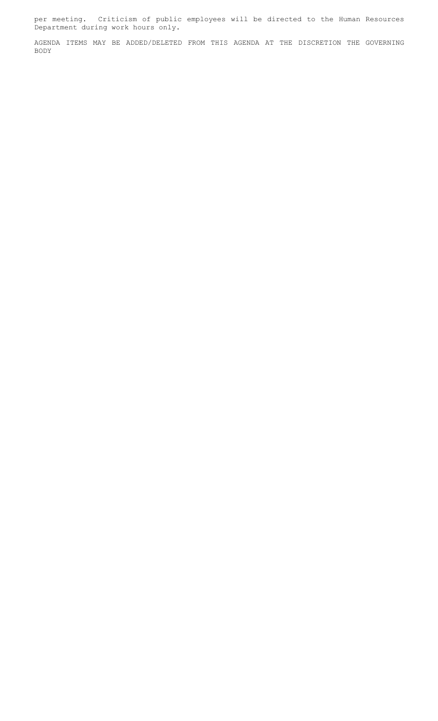per meeting. Criticism of public employees will be directed to the Human Resources Department during work hours only.

AGENDA ITEMS MAY BE ADDED/DELETED FROM THIS AGENDA AT THE DISCRETION THE GOVERNING BODY